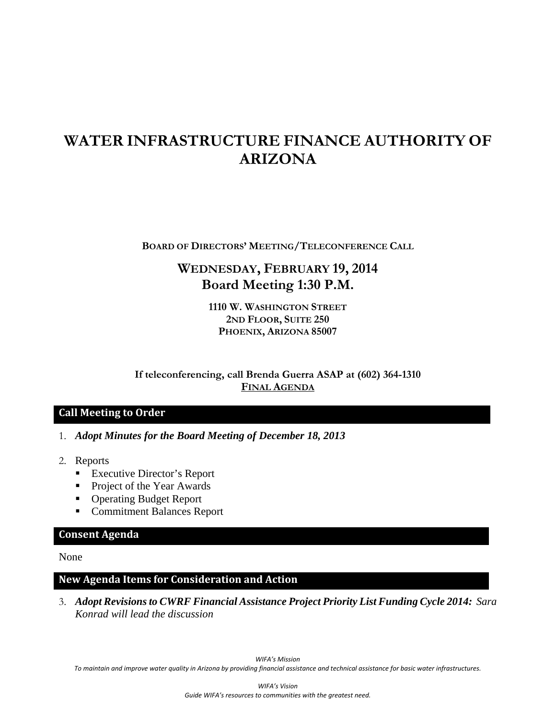# **WATER INFRASTRUCTURE FINANCE AUTHORITY OF ARIZONA**

**BOARD OF DIRECTORS' MEETING/TELECONFERENCE CALL**

## **WEDNESDAY, FEBRUARY 19, 2014 Board Meeting 1:30 P.M.**

**1110 W. WASHINGTON STREET 2ND FLOOR, SUITE 250 PHOENIX, ARIZONA 85007** 

**If teleconferencing, call Brenda Guerra ASAP at (602) 364-1310 FINAL AGENDA**

#### **Call Meeting to Order**

- 1. *Adopt Minutes for the Board Meeting of December 18, 2013*
- 2. Reports
	- Executive Director's Report
	- Project of the Year Awards
	- Operating Budget Report
	- **Commitment Balances Report**

#### **Consent Agenda**

None

### **New Agenda Items for Consideration and Action**

3. *Adopt Revisions to CWRF Financial Assistance Project Priority List Funding Cycle 2014: Sara Konrad will lead the discussion*

*WIFA's Mission* To maintain and improve water quality in Arizona by providing financial assistance and technical assistance for basic water infrastructures.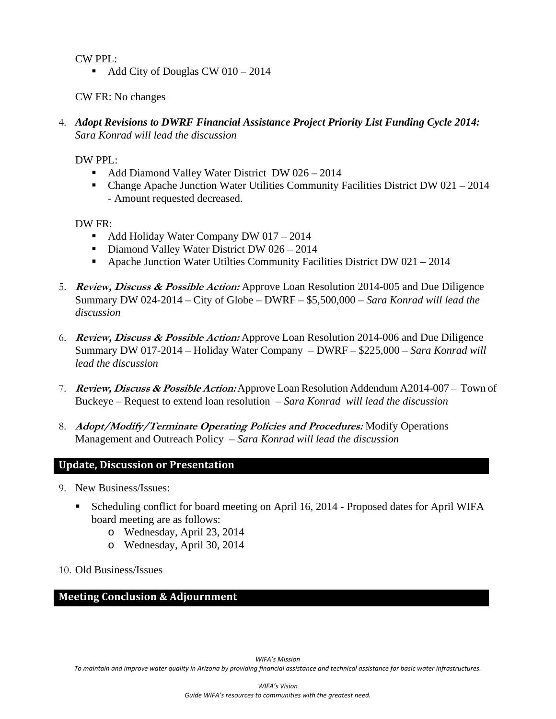CW PPL:

Add City of Douglas CW  $010 - 2014$ 

CW FR: No changes

4. *Adopt Revisions to DWRF Financial Assistance Project Priority List Funding Cycle 2014: Sara Konrad will lead the discussion*

DW PPL:

- Add Diamond Valley Water District DW 026 2014
- Change Apache Junction Water Utilities Community Facilities District DW 021 2014 - Amount requested decreased.

DW FR:

- Add Holiday Water Company DW 017 2014
- Diamond Valley Water District DW 026 2014
- Apache Junction Water Utilties Community Facilities District DW 021 2014
- 5. **Review, Discuss & Possible Action:** Approve Loan Resolution 2014-005 and Due Diligence Summary DW 024-2014 – City of Globe – DWRF – \$5,500,000 *– Sara Konrad will lead the discussion*
- 6. **Review, Discuss & Possible Action:** Approve Loan Resolution 2014-006 and Due Diligence Summary DW 017-2014 – Holiday Water Company – DWRF – \$225,000 – *Sara Konrad will lead the discussion*
- 7. **Review, Discuss & Possible Action:** Approve Loan Resolution Addendum A2014-007 Town of Buckeye – Request to extend loan resolution – *Sara Konrad will lead the discussion*
- 8. **Adopt/Modify/Terminate Operating Policies and Procedures:** Modify Operations Management and Outreach Policy *– Sara Konrad will lead the discussion*

### **Update, Discussion or Presentation**

- 9. New Business/Issues:
	- Scheduling conflict for board meeting on April 16, 2014 Proposed dates for April WIFA board meeting are as follows:
		- o Wednesday, April 23, 2014
		- o Wednesday, April 30, 2014
- 10. Old Business/Issues

#### **Meeting Conclusion & Adjournment**

To maintain and improve water quality in Arizona by providing financial assistance and technical assistance for basic water infrastructures.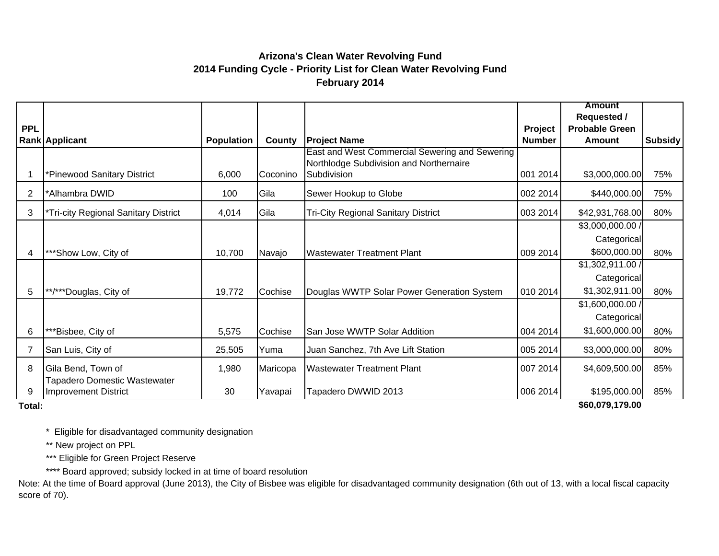## **Arizona's Clean Water Revolving Fund 2014 Funding Cycle - Priority List for Clean Water Revolving Fund February 2014**

|            |                                                                    |            |          |                                                                                                          |               | <b>Amount</b>                               |         |
|------------|--------------------------------------------------------------------|------------|----------|----------------------------------------------------------------------------------------------------------|---------------|---------------------------------------------|---------|
| <b>PPL</b> |                                                                    |            |          |                                                                                                          | Project       | <b>Requested /</b><br><b>Probable Green</b> |         |
|            | Rank Applicant                                                     | Population | County   | <b>Project Name</b>                                                                                      | <b>Number</b> | <b>Amount</b>                               | Subsidy |
|            | *Pinewood Sanitary District                                        | 6,000      | Coconino | East and West Commercial Sewering and Sewering<br>Northlodge Subdivision and Northernaire<br>Subdivision | 001 2014      | \$3,000,000.00                              | 75%     |
| 2          | *Alhambra DWID                                                     | 100        | Gila     | Sewer Hookup to Globe                                                                                    | 002 2014      | \$440,000.00                                | 75%     |
| 3          | *Tri-city Regional Sanitary District                               | 4,014      | Gila     | <b>Tri-City Regional Sanitary District</b>                                                               | 003 2014      | \$42,931,768.00                             | 80%     |
|            |                                                                    |            |          |                                                                                                          |               | \$3,000,000.00 /                            |         |
|            |                                                                    |            |          |                                                                                                          |               | Categorical                                 |         |
| 4          | ***Show Low, City of                                               | 10,700     | Navajo   | <b>Wastewater Treatment Plant</b>                                                                        | 009 2014      | \$600,000.00                                | 80%     |
|            |                                                                    |            |          |                                                                                                          |               | \$1,302,911.00 /                            |         |
|            |                                                                    |            |          |                                                                                                          |               | Categorical                                 |         |
| 5          | **/***Douglas, City of                                             | 19,772     | Cochise  | Douglas WWTP Solar Power Generation System                                                               | 010 2014      | \$1,302,911.00                              | 80%     |
|            |                                                                    |            |          |                                                                                                          |               | \$1,600,000.00 /                            |         |
|            |                                                                    |            |          |                                                                                                          |               | Categorical                                 |         |
| 6          | **Bisbee, City of                                                  | 5,575      | Cochise  | San Jose WWTP Solar Addition                                                                             | 004 2014      | \$1,600,000.00                              | 80%     |
| 7          | San Luis, City of                                                  | 25,505     | Yuma     | Juan Sanchez, 7th Ave Lift Station                                                                       | 005 2014      | \$3,000,000.00                              | 80%     |
| 8          | Gila Bend, Town of                                                 | 1,980      | Maricopa | <b>Wastewater Treatment Plant</b>                                                                        | 007 2014      | \$4,609,500.00                              | 85%     |
| 9          | <b>Tapadero Domestic Wastewater</b><br><b>Improvement District</b> | 30         | Yavapai  | Tapadero DWWID 2013                                                                                      | 006 2014      | \$195,000.00                                | 85%     |

**Total:**

**\$60,079,179.00** 

\* Eligible for disadvantaged community designation

\*\* New project on PPL

\*\*\* Eligible for Green Project Reserve

\*\*\*\* Board approved; subsidy locked in at time of board resolution

Note: At the time of Board approval (June 2013), the City of Bisbee was eligible for disadvantaged community designation (6th out of 13, with a local fiscal capacity score of 70).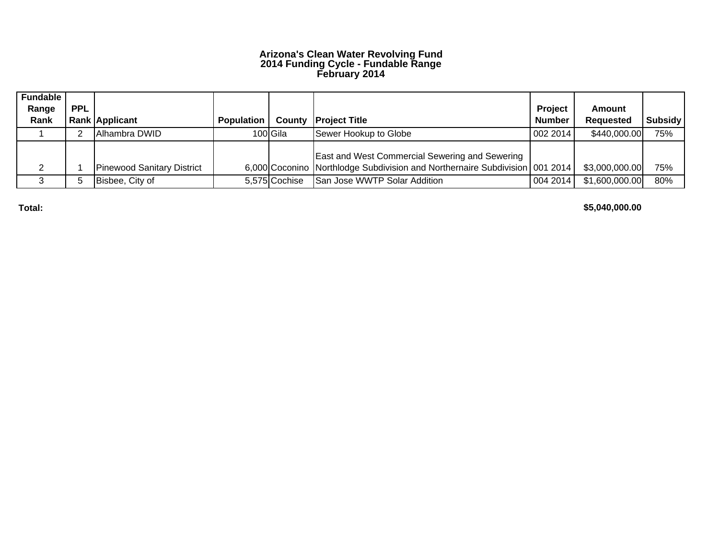#### **Arizona's Clean Water Revolving Fund 2014 Funding Cycle - Fundable Range February 2014**

| <b>Fundable</b> |            |                                   |                   |               |                                                                             |                |                  |                |
|-----------------|------------|-----------------------------------|-------------------|---------------|-----------------------------------------------------------------------------|----------------|------------------|----------------|
| Range           | <b>PPL</b> |                                   |                   |               |                                                                             | <b>Project</b> | <b>Amount</b>    |                |
| Rank            |            | <b>Rank Applicant</b>             | <b>Population</b> |               | <b>County Project Title</b>                                                 | <b>Number</b>  | <b>Requested</b> | <b>Subsidy</b> |
|                 |            | <b>IAlhambra DWID</b>             |                   | 100 Gila      | Sewer Hookup to Globe                                                       | 002 2014       | \$440,000.00     | 75%            |
|                 |            |                                   |                   |               |                                                                             |                |                  |                |
|                 |            |                                   |                   |               | <b>East and West Commercial Sewering and Sewering</b>                       |                |                  |                |
|                 |            | <b>Pinewood Sanitary District</b> |                   |               | 6,000 Coconino Northlodge Subdivision and Northernaire Subdivision 001 2014 |                | \$3,000,000.00   | 75%            |
|                 |            | Bisbee, City of                   |                   | 5,575 Cochise | San Jose WWTP Solar Addition                                                | 004 2014       | \$1,600,000.00   | 80%            |

**Total:**

**\$5,040,000.00**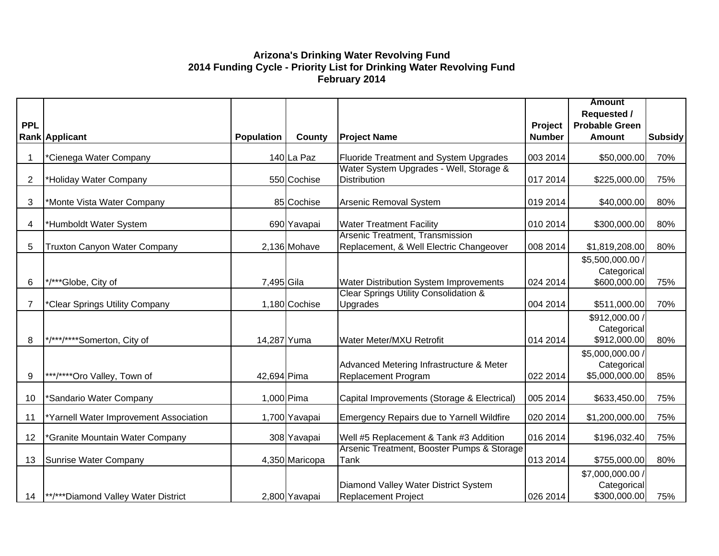#### **Arizona's Drinking Water Revolving Fund 2014 Funding Cycle - Priority List for Drinking Water Revolving Fund February 2014**

|                |                                            |                   |                |                                                                            |               | <b>Amount</b>                                     |                |
|----------------|--------------------------------------------|-------------------|----------------|----------------------------------------------------------------------------|---------------|---------------------------------------------------|----------------|
|                |                                            |                   |                |                                                                            |               | <b>Requested /</b>                                |                |
| <b>PPL</b>     |                                            |                   |                |                                                                            | Project       | <b>Probable Green</b>                             |                |
|                | <b>Rank Applicant</b>                      | <b>Population</b> | County         | <b>Project Name</b>                                                        | <b>Number</b> | <b>Amount</b>                                     | <b>Subsidy</b> |
| -1             | *Cienega Water Company                     |                   | 140 La Paz     | Fluoride Treatment and System Upgrades                                     | 003 2014      | \$50,000.00                                       | 70%            |
| $\overline{2}$ | *Holiday Water Company                     |                   | 550 Cochise    | Water System Upgrades - Well, Storage &<br><b>Distribution</b>             | 017 2014      | \$225,000.00                                      | 75%            |
| 3              | *Monte Vista Water Company                 |                   | 85 Cochise     | Arsenic Removal System                                                     | 019 2014      | \$40,000.00                                       | 80%            |
| 4              | *Humboldt Water System                     |                   | 690 Yavapai    | <b>Water Treatment Facility</b>                                            | 010 2014      | \$300,000.00                                      | 80%            |
| 5              | <b>Truxton Canyon Water Company</b>        |                   | 2,136 Mohave   | Arsenic Treatment, Transmission<br>Replacement, & Well Electric Changeover | 008 2014      | \$1,819,208.00                                    | 80%            |
| 6              | */***Globe, City of                        | 7,495 Gila        |                | Water Distribution System Improvements                                     | 024 2014      | \$5,500,000.00 /<br>Categorical<br>\$600,000.00   | 75%            |
| $\overline{7}$ | *Clear Springs Utility Company             |                   | 1,180 Cochise  | Clear Springs Utility Consolidation &<br>Upgrades                          | 004 2014      | \$511,000.00                                      | 70%            |
| 8              | */***/****Somerton, City of                | 14,287 Yuma       |                | Water Meter/MXU Retrofit                                                   | 014 2014      | \$912,000.00 /<br>Categorical<br>\$912,000.00     | 80%            |
| 9              | ***/****Oro Valley, Town of                | 42,694 Pima       |                | Advanced Metering Infrastructure & Meter<br>Replacement Program            | 022 2014      | \$5,000,000.00 /<br>Categorical<br>\$5,000,000.00 | 85%            |
| 10             | *Sandario Water Company                    |                   | 1,000 Pima     | Capital Improvements (Storage & Electrical)                                | 005 2014      | \$633,450.00                                      | 75%            |
| 11             | Yarnell Water Improvement Association      |                   | 1,700 Yavapai  | <b>Emergency Repairs due to Yarnell Wildfire</b>                           | 020 2014      | \$1,200,000.00                                    | 75%            |
| 12             | *Granite Mountain Water Company            |                   | 308 Yavapai    | Well #5 Replacement & Tank #3 Addition                                     | 016 2014      | \$196,032.40                                      | 75%            |
| 13             | Sunrise Water Company                      |                   | 4,350 Maricopa | Arsenic Treatment, Booster Pumps & Storage<br>Tank                         | 013 2014      | \$755,000.00                                      | 80%            |
| 14             | <b>**/***Diamond Valley Water District</b> |                   | 2,800 Yavapai  | Diamond Valley Water District System<br><b>Replacement Project</b>         | 026 2014      | \$7,000,000.00 /<br>Categorical<br>\$300,000.00   | 75%            |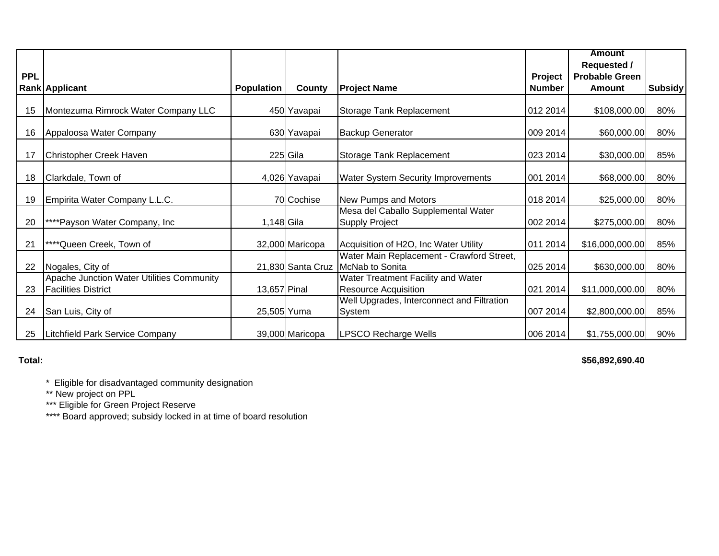|            |                                                                         |                   |                   |                                                                   |                | <b>Amount</b>         |                |
|------------|-------------------------------------------------------------------------|-------------------|-------------------|-------------------------------------------------------------------|----------------|-----------------------|----------------|
|            |                                                                         |                   |                   |                                                                   |                | <b>Requested /</b>    |                |
| <b>PPL</b> |                                                                         |                   |                   |                                                                   | <b>Project</b> | <b>Probable Green</b> |                |
|            | <b>Rank Applicant</b>                                                   | <b>Population</b> | County            | <b>Project Name</b>                                               | <b>Number</b>  | Amount                | <b>Subsidy</b> |
| 15         | Montezuma Rimrock Water Company LLC                                     |                   | 450 Yavapai       | Storage Tank Replacement                                          | 012 2014       | \$108,000.00          | 80%            |
| 16         | Appaloosa Water Company                                                 |                   | 630 Yavapai       | <b>Backup Generator</b>                                           | 009 2014       | \$60,000.00           | 80%            |
| 17         | Christopher Creek Haven                                                 |                   | 225 Gila          | Storage Tank Replacement                                          | 023 2014       | \$30,000.00           | 85%            |
| 18         | Clarkdale, Town of                                                      |                   | 4,026 Yavapai     | <b>Water System Security Improvements</b>                         | 001 2014       | \$68,000.00           | 80%            |
| 19         | Empirita Water Company L.L.C.                                           |                   | 70 Cochise        | New Pumps and Motors                                              | 018 2014       | \$25,000.00           | 80%            |
| 20         | ****Payson Water Company, Inc                                           | 1,148 Gila        |                   | Mesa del Caballo Supplemental Water<br><b>Supply Project</b>      | 002 2014       | \$275,000.00          | 80%            |
| 21         | ****Queen Creek, Town of                                                |                   | 32,000 Maricopa   | Acquisition of H2O, Inc Water Utility                             | 011 2014       | \$16,000,000.00       | 85%            |
| 22         | Nogales, City of                                                        |                   | 21,830 Santa Cruz | Water Main Replacement - Crawford Street,<br>McNab to Sonita      | 025 2014       | \$630,000.00          | 80%            |
| 23         | Apache Junction Water Utilities Community<br><b>Facilities District</b> | 13,657 Pinal      |                   | Water Treatment Facility and Water<br><b>Resource Acquisition</b> | 021 2014       | \$11,000,000.00       | 80%            |
| 24         | San Luis, City of                                                       | 25,505 Yuma       |                   | Well Upgrades, Interconnect and Filtration<br>System              | 007 2014       | \$2,800,000.00        | 85%            |
| 25         | Litchfield Park Service Company                                         |                   | 39,000 Maricopa   | <b>LPSCO Recharge Wells</b>                                       | 006 2014       | \$1,755,000.00        | 90%            |

#### **Total:**

**\$56,892,690.40** 

\* Eligible for disadvantaged community designation

\*\* New project on PPL

\*\*\* Eligible for Green Project Reserve

\*\*\*\* Board approved; subsidy locked in at time of board resolution